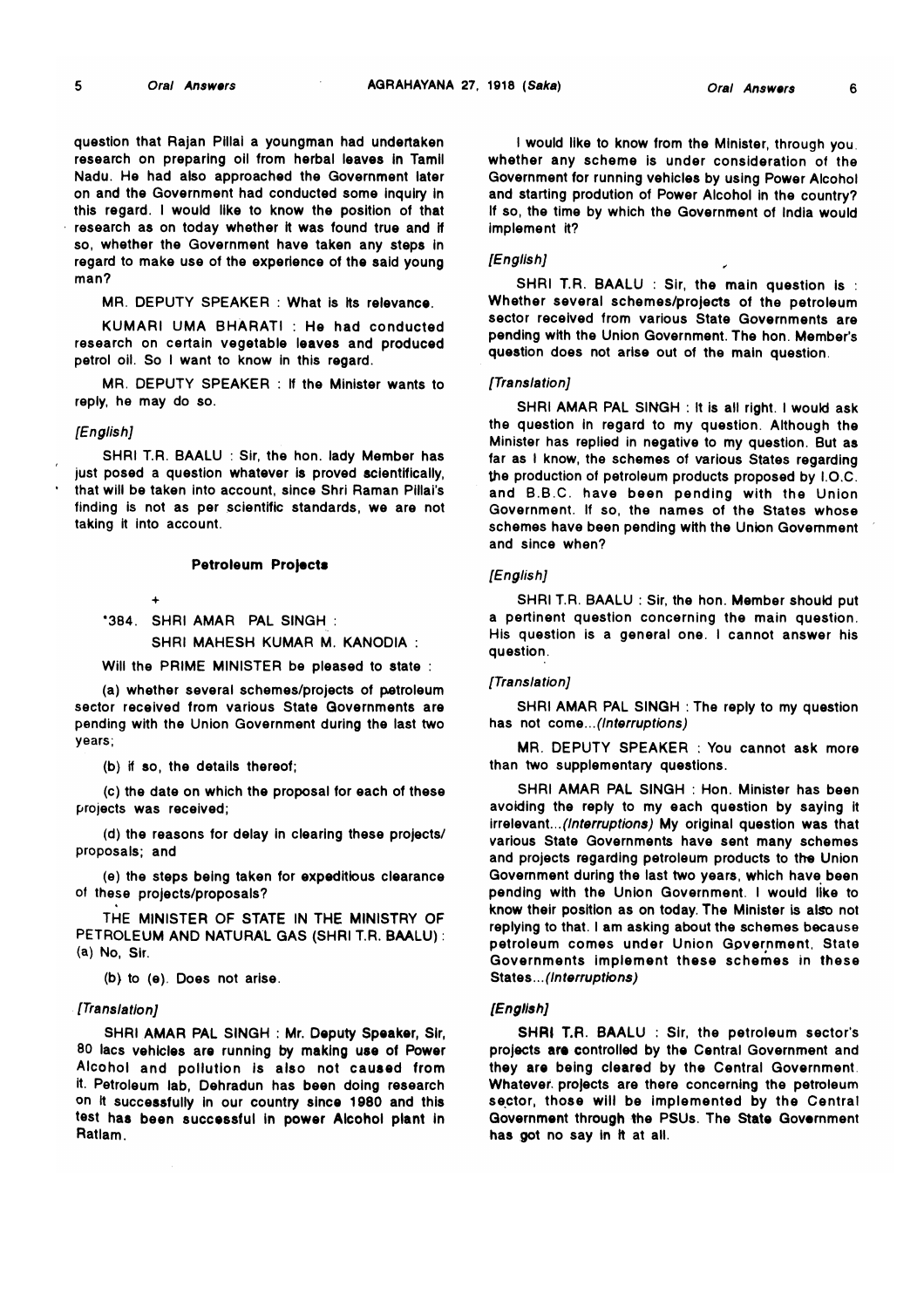$\mathbf{g}$ 

6

question that Rajan Pillai a youngman had undertaken research on preparing oil from herbal leaves in Tamil Nadu. He had also approached the Government later on and the Government had conducted some inquiry in this regard. I would like to know the position of that research as on today whether it was found true and if so, whether the Government have taken any steps in regard to make use of the experience of the said young man?

MR. DEPUTY SPEAKER : What is its relevance.

KUMARI UMA BHARATI : He had conducted research on certain vegetable leaves and produced petrol oil. So I want to know in this regard.

MR. DEPUTY SPEAKER : If the Minister wants to reply, he may do so.

## *[English]*

SHRI T.R. BAALU : Sir, the hon. lady Member has just posed a question whatever is proved scientifically, that will be taken into account, since Shri Raman Pillai's finding is not as per scientific standards, we are not taking it into account.

#### Petroleum Projects

\*384. SHRI AMAR PAL SINGH : SHRI MAHESH KUMAR M. KANODIA :

# Will the PRIME MINISTER be pleased to state :

(a) whether several schemes/projects of petroleum sector received from various State Governments are pending with the Union Government during the last two years;

(b) if so, the details thereof;

 $\Delta$ 

(c) the date on which the proposal for each of these projects was received;

(d) the reasons for delay in clearing these projects/ proposals; and

(e) the steps being taken for expeditious clearance of these projects/proposals?

THE MINISTER OF STATE IN THE MINISTRY OF PETROLEUM AND NATURAL GAS (SHRI T.R. BAALU): (a) No, Sir.

(b) to (e). Does not arise.

## *[Translation]*

SHRI AMAR PAL SINGH : Mr. Deputy Speaker, Sir, 80 lacs vehicles are running by making use of Power Alcohol and pollution is also not caused from it. Petroleum lab, Dehradun has been doing research on it successfully in our country since 1980 and this test has been successful in power Alcohol plant in Ratlam.

I would like to know from the Minister, through you, whether any scheme is under consideration of the Government for running vehicles by using Power Alcohol and starting prodution of Power Alcohol in the country? If so, the time by which the Government of India would implement it?

#### *[English]*

SHRI T.R. BAALU: Sir, the main question is : Whether several schemes/projects of the petroleum sector received from various State Governments are pending with the Union Government. The hon. Member's question does not arise out of the main question.

#### *[Translation]*

SHRI AMAR PAL SINGH : It is all right. I would ask the question in regard to my question. Although the Minister has replied in negative to my question. But as far as I know, the schemes of various States regarding the production of petroleum products proposed by I.O.C. and B.B.C. have been pending with the Union Government. If so, the names of the States whose schemes have been pending with the Union Government and since when?

## *[English]*

SHRI T.R. BAALU : Sir, the hon. Member should put a pertinent question concerning the main question. His question is a general one. I cannot answer his question.

## *[Translation]*

SHRI AMAR PAL SINGH : The reply to my question has not come.*..(Interruptions)*

MR. DEPUTY SPEAKER : You cannot ask more than two supplementary questions.

SHRI AMAR PAL SINGH : Hon. Minister has been avoiding the reply to my each question by saying it irrelevant...*(Interruptions)* My original question was that various State Governments have sent many schemes and projects regarding petroleum products to the Union Government during the last two years, which have been pending with the Union Government. I would like to know their position as on today. The Minister is also not replying to that. I am asking about the schemes because petroleum comes under Union Government, State Governments implement these schemes in these States *...(In terruptions)*

#### *[English]*

SHRI T.R. BAALU : Sir, the petroleum sector's projects are controlled by the Central Government and they are being cleared by the Central Government Whatever projects are there concerning the petroleum sector, those will be implemented by the Central Government through the PSUs. The State Government has got no say in it at all.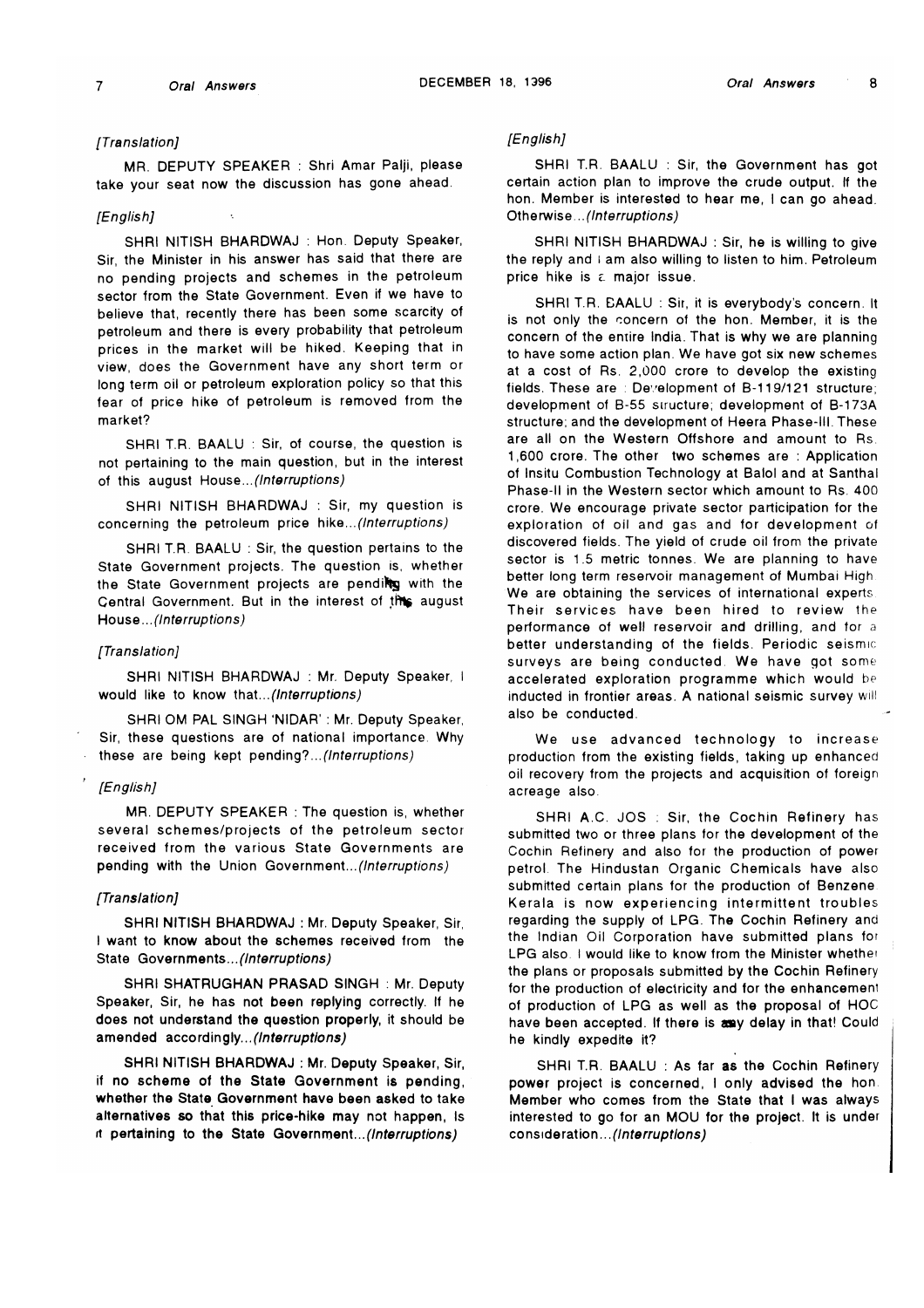## *[Translation]*

MR. DEPUTY SPEAKER : Shri Amar Paiji, please take your seat now the discussion has gone ahead.

#### *[English]*

SHRI NITISH BHARDWAJ : Hon. Deputy Speaker, Sir, the Minister in his answer has said that there are no pending projects and schemes in the petroleum sector trom the State Government. Even it we have to believe that, recently there has been some scarcity of petroleum and there is every probability that petroleum prices in the market will be hiked. Keeping that in view, does the Government have any short term or long term oil or petroleum exploration policy so that this fear of price hike of petroleum is removed from the market?

SHRI T.R. BAALU : Sir, of course, the question is not pertaining to the main question, but in the interest of this august Hous*&...(Interruptions)*

SHRI NITISH BHARDWAJ : Sir, my question is concerning the petroleum price hike...*(Interruptions)*

SHRI T.R. BAALU : Sir, the question pertains to the State Government projects. The question is, whether the State Government projects are pending with the Central Government. But in the interest of the august Hous *q...(Interruptions)*

#### *[Translation]*

SHRI NITISH BHARDWAJ : Mr. Deputy Speaker, I would like to know that *...(Interruptions)*

SHRI OM PAL SINGH 'NIDAR' : Mr. Deputy Speaker, Sir, these questions are of national importance. Why these are being kept pending*? ...(Interruptions)*

## *[English]*

MR. DEPUTY SPEAKER : The question is, whether several schemes/projects of the petroleum sector received from the various State Governments are pending with the Union Government...(Interruptions)

#### *[Translation]*

SHRI NITISH BHARDWAJ : Mr. Deputy Speaker, Sir, I want to know about the schemes received from the State Governments...(Interruptions)

SHRI SHATRUGHAN PRASAD SINGH : Mr. Deputy Speaker, Sir, he has not been replying correctly. If he does not understand the question properly, it should be amended accordingly...*(Interruptions)*

SHRI NITISH BHARDWAJ : Mr. Deputy Speaker, Sir, if no scheme of the State Government is pending, whether the State Government have been asked to take alternatives so that this price-hike may not happen, Is ft pertaining to the State Government.*..(Interruptions)*

## *[English]*

SHRI T.R. BAALU : Sir, the Government has got certain action plan to improve the crude output. If the hon. Member is interested to hear me, I can go ahead. Otherwise... *(Interruptions)*

SHRI NITISH BHARDWAJ : Sir, he is willing to give the reply and i am also willing to listen to him. Petroleum price hike is a major issue.

SHRI T.R. BAALU : Sir, it is everybody's concern. It is not only the concern of the hon. Member, it is the concern of the entire India. That is why we are planning to have some action plan. We have got six new schemes at a cost of Rs. 2,000 crore to develop the existing fields. These are : Development of B-119/121 structure; development of B-55 structure; development of B-173A structure; and the development of Heera Phase-Ill. These are all on the Western Offshore and amount to Rs 1,600 crore. The other two schemes are : Application of Insitu Combustion Technology at Balol and at Santhal Phase-ll in the Western sector which amount to Rs. 400 crore. We encourage private sector participation for the exploration of oil and gas and for development of discovered fields. The yield of crude oil from the private sector is 1.5 metric tonnes. We are planning to have better long term reservoir management of Mumbai High We are obtaining the services of international experts. Their services have been hired to review the performance of well reservoir and drilling, and for a better understanding of the fields. Periodic seismic surveys are being conducted. We have got some accelerated exploration programme which would be inducted in frontier areas. A national seismic survey will also be conducted.

We use advanced technology to increase production from the existing fields, taking up enhanced oil recovery from the projects and acquisition of foreign acreage also.

SHRI A.C. JOS : Sir, the Cochin Refinery has submitted two or three plans for the development of the Cochin Refinery and also for the production of power petrol The Hindustan Organic Chemicals have also submitted certain plans for the production of Benzene. Kerala is now experiencing intermittent troubles regarding the supply of LPG. The Cochin Refinery and the Indian Oil Corporation have submitted plans for LPG also. I would like to know from the Minister whether the plans or proposals submitted by the Cochin Refinery for the production of electricity and for the enhancement of production of LPG as well as the proposal of HOC have been accepted. If there is any delay in that! Could he kindly expedite it?

SHRI T.R. BAALU : As far as the Cochin Refinery power project is concerned, I only advised the hon. Member who comes from the State that I was always interested to go for an MOU for the project. It is under consideration... *(Interruptions)*